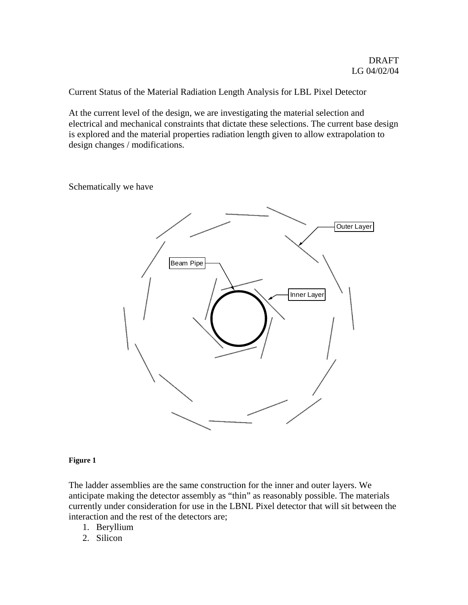Current Status of the Material Radiation Length Analysis for LBL Pixel Detector

At the current level of the design, we are investigating the material selection and electrical and mechanical constraints that dictate these selections. The current base design is explored and the material properties radiation length given to allow extrapolation to design changes / modifications.

Schematically we have



## **Figure 1**

The ladder assemblies are the same construction for the inner and outer layers. We anticipate making the detector assembly as "thin" as reasonably possible. The materials currently under consideration for use in the LBNL Pixel detector that will sit between the interaction and the rest of the detectors are;

- 1. Beryllium
- 2. Silicon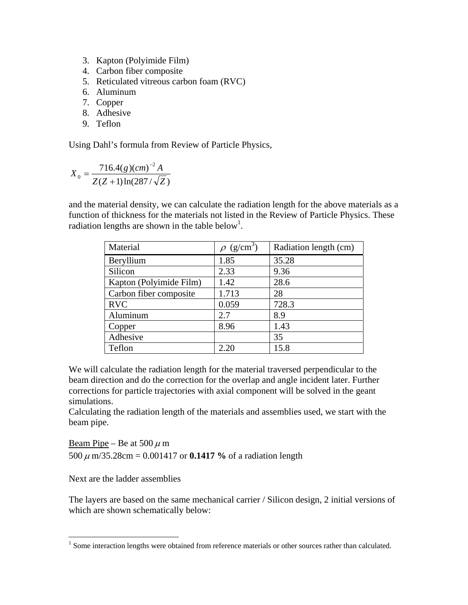- 3. Kapton (Polyimide Film)
- 4. Carbon fiber composite
- 5. Reticulated vitreous carbon foam (RVC)
- 6. Aluminum
- 7. Copper
- 8. Adhesive
- 9. Teflon

Using Dahl's formula from Review of Particle Physics,

$$
X_0 = \frac{716.4(g)(cm)^{-2}A}{Z(Z+1)\ln(287/\sqrt{Z})}
$$

and the material density, we can calculate the radiation length for the above materials as a function of thickness for the materials not listed in the Review of Particle Physics. These radiation lengths are shown in the table below<sup>1</sup>.

| Material                | $(g/cm^3)$<br>$\Omega$ | Radiation length (cm) |
|-------------------------|------------------------|-----------------------|
| Beryllium               | 1.85                   | 35.28                 |
| Silicon                 | 2.33                   | 9.36                  |
| Kapton (Polyimide Film) | 1.42                   | 28.6                  |
| Carbon fiber composite  | 1.713                  | 28                    |
| <b>RVC</b>              | 0.059                  | 728.3                 |
| Aluminum                | 2.7                    | 8.9                   |
| Copper                  | 8.96                   | 1.43                  |
| Adhesive                |                        | 35                    |
| Teflon                  | 2.20                   | 15.8                  |

We will calculate the radiation length for the material traversed perpendicular to the beam direction and do the correction for the overlap and angle incident later. Further corrections for particle trajectories with axial component will be solved in the geant simulations.

Calculating the radiation length of the materials and assemblies used, we start with the beam pipe.

Beam Pipe – Be at 500  $\mu$  m 500  $\mu$  m/35.28cm = 0.001417 or **0.1417** % of a radiation length

Next are the ladder assemblies

<u>.</u>

The layers are based on the same mechanical carrier / Silicon design, 2 initial versions of which are shown schematically below:

 $<sup>1</sup>$  Some interaction lengths were obtained from reference materials or other sources rather than calculated.</sup>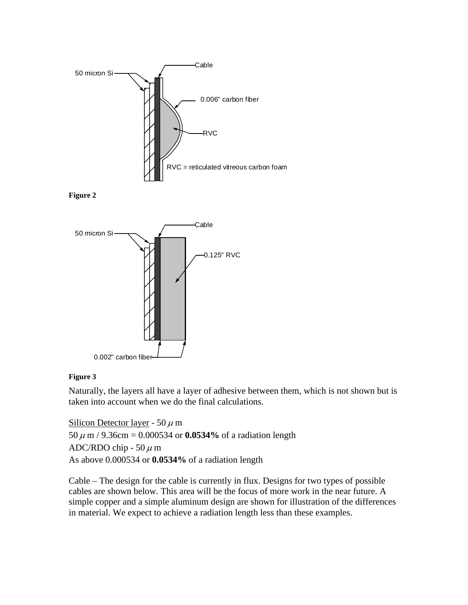





## **Figure 3**

Naturally, the layers all have a layer of adhesive between them, which is not shown but is taken into account when we do the final calculations.

Silicon Detector layer - 50  $\mu$  m 50  $\mu$  m / 9.36cm = 0.000534 or **0.0534%** of a radiation length ADC/RDO chip - 50  $\mu$  m As above 0.000534 or **0.0534%** of a radiation length

Cable – The design for the cable is currently in flux. Designs for two types of possible cables are shown below. This area will be the focus of more work in the near future. A simple copper and a simple aluminum design are shown for illustration of the differences in material. We expect to achieve a radiation length less than these examples.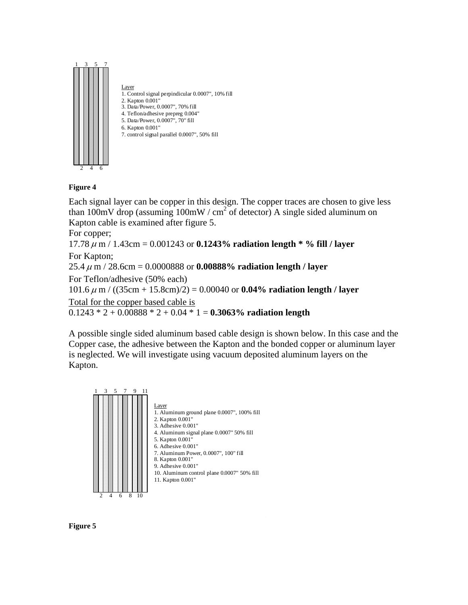

Layer 1. Control signal perpindicular 0.0007", 10% fill 2. Kapton 0.001" 3. Data/Power, 0.0007", 70% fill 4. Teflon/adhesive prepreg 0.004" 5. Data/Power, 0.0007", 70" fill 6. Kapton 0.001"

7. control signal parallel 0.0007", 50% fill

## **Figure 4**

Each signal layer can be copper in this design. The copper traces are chosen to give less than 100mV drop (assuming  $100$ mW / cm<sup>2</sup> of detector) A single sided aluminum on Kapton cable is examined after figure 5.

For copper;

17.78 <sup>µ</sup> m / 1.43cm = 0.001243 or **0.1243% radiation length \* % fill / layer**

For Kapton;

 $25.4 \mu$  m / 28.6cm = 0.0000888 or **0.00888% radiation length / layer** 

For Teflon/adhesive (50% each)

101.6  $\mu$  m / ((35cm + 15.8cm)/2) = 0.00040 or **0.04% radiation length / layer** 

Total for the copper based cable is

0.1243 \* 2 + 0.00888 \* 2 + 0.04 \* 1 = **0.3063% radiation length** 

A possible single sided aluminum based cable design is shown below. In this case and the Copper case, the adhesive between the Kapton and the bonded copper or aluminum layer is neglected. We will investigate using vacuum deposited aluminum layers on the Kapton.



**Figure 5**